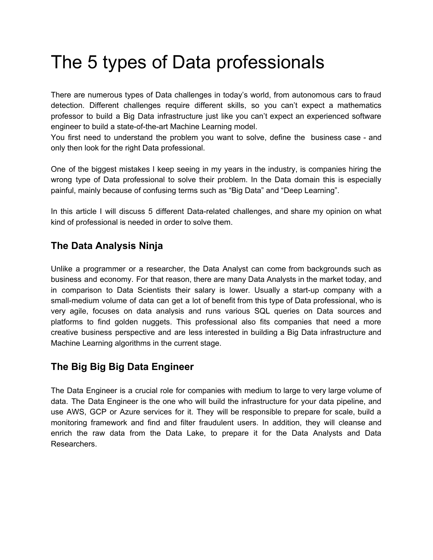# The 5 types of Data professionals

There are numerous types of Data challenges in today's world, from autonomous cars to fraud detection. Different challenges require different skills, so you can't expect a mathematics professor to build a Big Data infrastructure just like you can't expect an experienced software engineer to build a state-of-the-art Machine Learning model.

You first need to understand the problem you want to solve, define the business case - and only then look for the right Data professional.

One of the biggest mistakes I keep seeing in my years in the industry, is companies hiring the wrong type of Data professional to solve their problem. In the Data domain this is especially painful, mainly because of confusing terms such as "Big Data" and "Deep Learning".

In this article I will discuss 5 different Data-related challenges, and share my opinion on what kind of professional is needed in order to solve them.

# **The Data Analysis Ninja**

Unlike a programmer or a researcher, the Data Analyst can come from backgrounds such as business and economy. For that reason, there are many Data Analysts in the market today, and in comparison to Data Scientists their salary is lower. Usually a start-up company with a small-medium volume of data can get a lot of benefit from this type of Data professional, who is very agile, focuses on data analysis and runs various SQL queries on Data sources and platforms to find golden nuggets. This professional also fits companies that need a more creative business perspective and are less interested in building a Big Data infrastructure and Machine Learning algorithms in the current stage.

## **The Big Big Big Data Engineer**

The Data Engineer is a crucial role for companies with medium to large to very large volume of data. The Data Engineer is the one who will build the infrastructure for your data pipeline, and use AWS, GCP or Azure services for it. They will be responsible to prepare for scale, build a monitoring framework and find and filter fraudulent users. In addition, they will cleanse and enrich the raw data from the Data Lake, to prepare it for the Data Analysts and Data Researchers.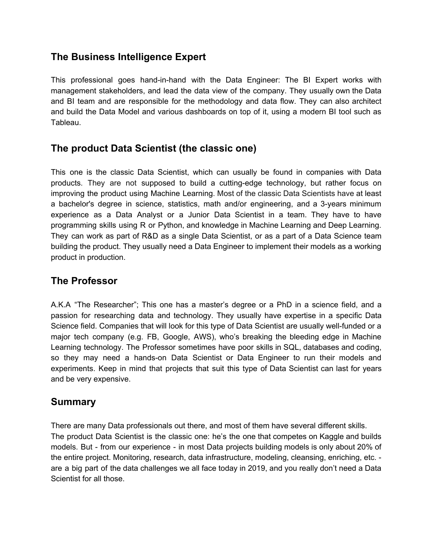# **The Business Intelligence Expert**

This professional goes hand-in-hand with the Data Engineer: The BI Expert works with management stakeholders, and lead the data view of the company. They usually own the Data and BI team and are responsible for the methodology and data flow. They can also architect and build the Data Model and various dashboards on top of it, using a modern BI tool such as Tableau.

## **The product Data Scientist (the classic one)**

This one is the classic Data Scientist, which can usually be found in companies with Data products. They are not supposed to build a cutting-edge technology, but rather focus on improving the product using Machine Learning. Most of the classic Data Scientists have at least a bachelor's degree in science, statistics, math and/or engineering, and a 3-years minimum experience as a Data Analyst or a Junior Data Scientist in a team. They have to have programming skills using R or Python, and knowledge in Machine Learning and Deep Learning. They can work as part of R&D as a single Data Scientist, or as a part of a Data Science team building the product. They usually need a Data Engineer to implement their models as a working product in production.

## **The Professor**

A.K.A "The Researcher"; This one has a master's degree or a PhD in a science field, and a passion for researching data and technology. They usually have expertise in a specific Data Science field. Companies that will look for this type of Data Scientist are usually well-funded or a major tech company (e.g. FB, Google, AWS), who's breaking the bleeding edge in Machine Learning technology. The Professor sometimes have poor skills in SQL, databases and coding, so they may need a hands-on Data Scientist or Data Engineer to run their models and experiments. Keep in mind that projects that suit this type of Data Scientist can last for years and be very expensive.

#### **Summary**

There are many Data professionals out there, and most of them have several different skills. The product Data Scientist is the classic one: he's the one that competes on Kaggle and builds models. But - from our experience - in most Data projects building models is only about 20% of the entire project. Monitoring, research, data infrastructure, modeling, cleansing, enriching, etc. are a big part of the data challenges we all face today in 2019, and you really don't need a Data Scientist for all those.